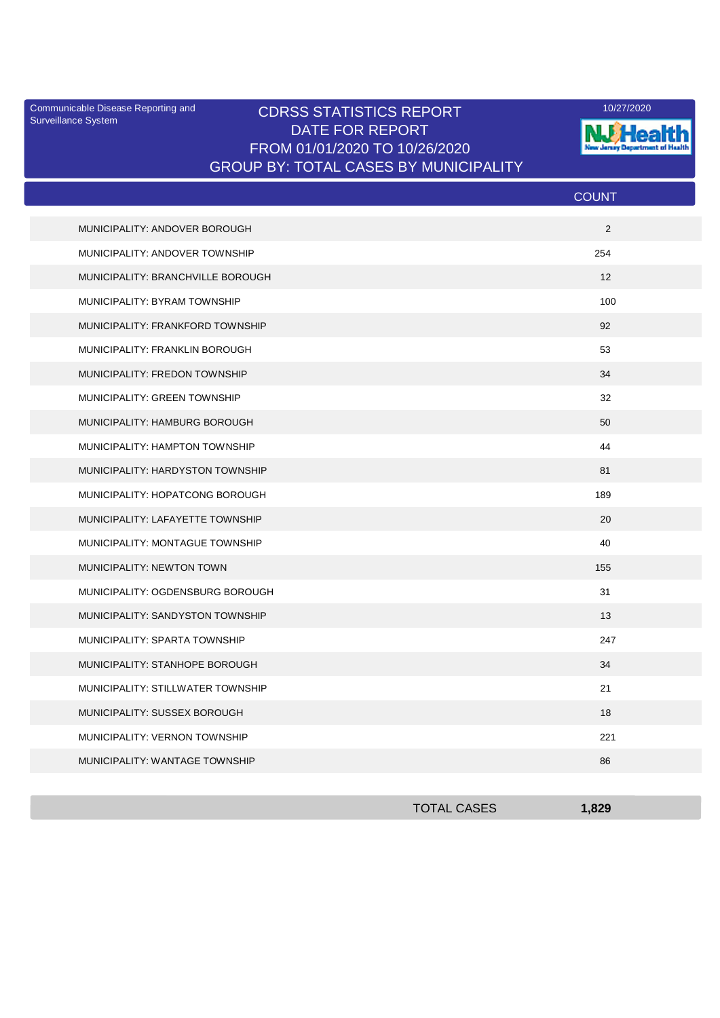Surveillance System

## Communicable Disease Reporting and **CDRSS STATISTICS REPORT** 10/27/2020<br>Surveillance Statem DATE FOR REPORT FROM 01/01/2020 TO 10/26/2020 GROUP BY: TOTAL CASES BY MUNICIPALITY



|                                   | <b>COUNT</b> |
|-----------------------------------|--------------|
| MUNICIPALITY: ANDOVER BOROUGH     | 2            |
| MUNICIPALITY: ANDOVER TOWNSHIP    | 254          |
| MUNICIPALITY: BRANCHVILLE BOROUGH | 12           |
| MUNICIPALITY: BYRAM TOWNSHIP      | 100          |
| MUNICIPALITY: FRANKFORD TOWNSHIP  | 92           |
| MUNICIPALITY: FRANKLIN BOROUGH    | 53           |
| MUNICIPALITY: FREDON TOWNSHIP     | 34           |
| MUNICIPALITY: GREEN TOWNSHIP      | 32           |
| MUNICIPALITY: HAMBURG BOROUGH     | 50           |
| MUNICIPALITY: HAMPTON TOWNSHIP    | 44           |
| MUNICIPALITY: HARDYSTON TOWNSHIP  | 81           |
| MUNICIPALITY: HOPATCONG BOROUGH   | 189          |
| MUNICIPALITY: LAFAYETTE TOWNSHIP  | 20           |
| MUNICIPALITY: MONTAGUE TOWNSHIP   | 40           |
| <b>MUNICIPALITY: NEWTON TOWN</b>  | 155          |
| MUNICIPALITY: OGDENSBURG BOROUGH  | 31           |
| MUNICIPALITY: SANDYSTON TOWNSHIP  | 13           |
| MUNICIPALITY: SPARTA TOWNSHIP     | 247          |
| MUNICIPALITY: STANHOPE BOROUGH    | 34           |
| MUNICIPALITY: STILLWATER TOWNSHIP | 21           |
| MUNICIPALITY: SUSSEX BOROUGH      | 18           |
| MUNICIPALITY: VERNON TOWNSHIP     | 221          |
| MUNICIPALITY: WANTAGE TOWNSHIP    | 86           |

| <b>TOTAL CASES</b> | 829 |
|--------------------|-----|
|                    |     |